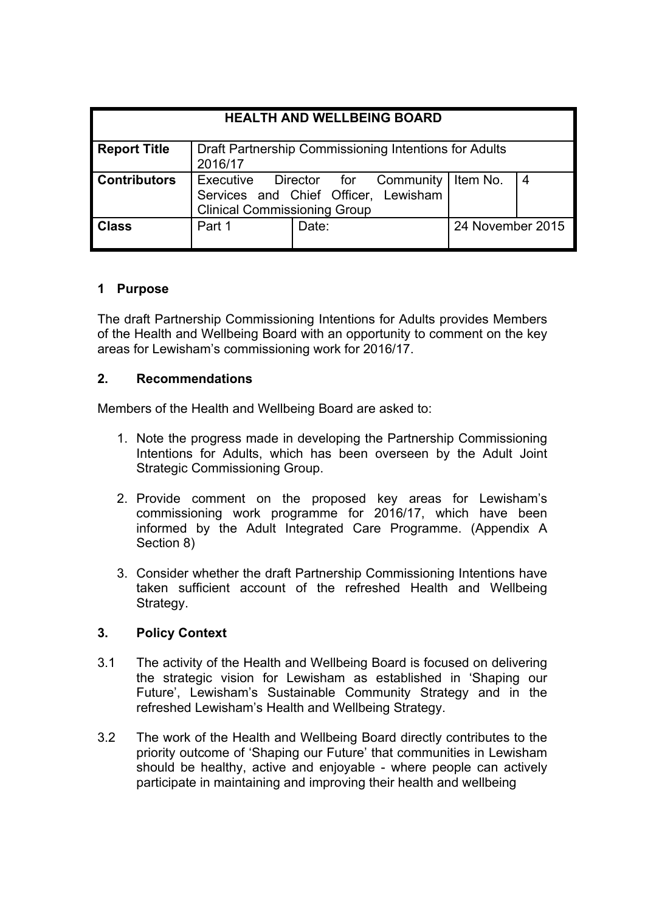| <b>HEALTH AND WELLBEING BOARD</b> |                                                                                                                 |       |  |                  |  |
|-----------------------------------|-----------------------------------------------------------------------------------------------------------------|-------|--|------------------|--|
| <b>Report Title</b>               | Draft Partnership Commissioning Intentions for Adults<br>2016/17                                                |       |  |                  |  |
| <b>Contributors</b>               | Executive Director for Community<br>Services and Chief Officer, Lewisham<br><b>Clinical Commissioning Group</b> |       |  | Item No.         |  |
| <b>Class</b>                      | Part 1                                                                                                          | Date: |  | 24 November 2015 |  |

## **1 Purpose**

The draft Partnership Commissioning Intentions for Adults provides Members of the Health and Wellbeing Board with an opportunity to comment on the key areas for Lewisham's commissioning work for 2016/17.

## **2. Recommendations**

Members of the Health and Wellbeing Board are asked to:

- 1. Note the progress made in developing the Partnership Commissioning Intentions for Adults, which has been overseen by the Adult Joint Strategic Commissioning Group.
- 2. Provide comment on the proposed key areas for Lewisham's commissioning work programme for 2016/17, which have been informed by the Adult Integrated Care Programme. (Appendix A Section 8)
- 3. Consider whether the draft Partnership Commissioning Intentions have taken sufficient account of the refreshed Health and Wellbeing Strategy.

# **3. Policy Context**

- 3.1 The activity of the Health and Wellbeing Board is focused on delivering the strategic vision for Lewisham as established in 'Shaping our Future', Lewisham's Sustainable Community Strategy and in the refreshed Lewisham's Health and Wellbeing Strategy.
- 3.2 The work of the Health and Wellbeing Board directly contributes to the priority outcome of 'Shaping our Future' that communities in Lewisham should be healthy, active and enjoyable - where people can actively participate in maintaining and improving their health and wellbeing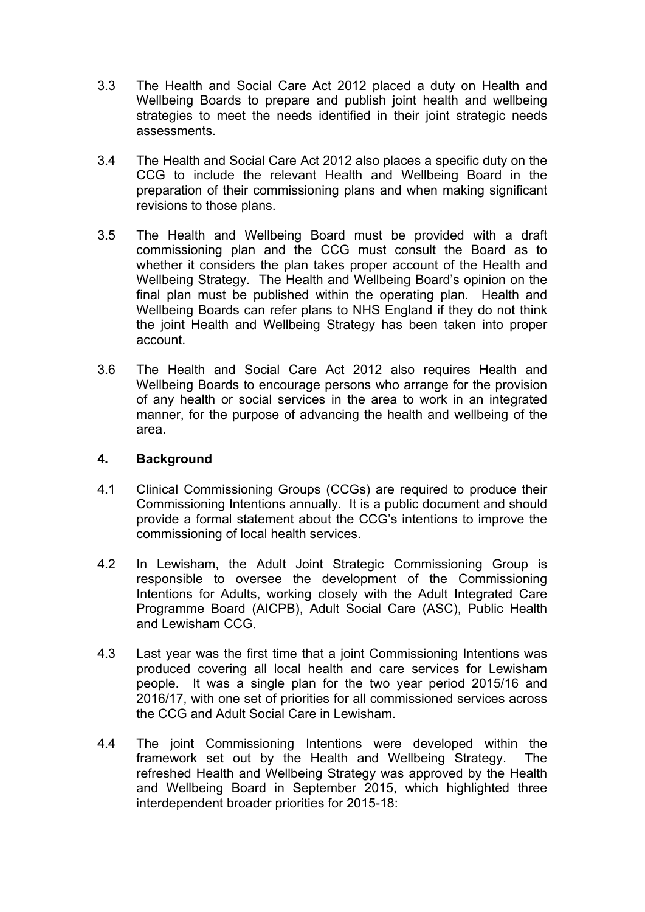- 3.3 The Health and Social Care Act 2012 placed a duty on Health and Wellbeing Boards to prepare and publish joint health and wellbeing strategies to meet the needs identified in their joint strategic needs assessments.
- 3.4 The Health and Social Care Act 2012 also places a specific duty on the CCG to include the relevant Health and Wellbeing Board in the preparation of their commissioning plans and when making significant revisions to those plans.
- 3.5 The Health and Wellbeing Board must be provided with a draft commissioning plan and the CCG must consult the Board as to whether it considers the plan takes proper account of the Health and Wellbeing Strategy. The Health and Wellbeing Board's opinion on the final plan must be published within the operating plan. Health and Wellbeing Boards can refer plans to NHS England if they do not think the joint Health and Wellbeing Strategy has been taken into proper account.
- 3.6 The Health and Social Care Act 2012 also requires Health and Wellbeing Boards to encourage persons who arrange for the provision of any health or social services in the area to work in an integrated manner, for the purpose of advancing the health and wellbeing of the area.

### **4. Background**

- 4.1 Clinical Commissioning Groups (CCGs) are required to produce their Commissioning Intentions annually. It is a public document and should provide a formal statement about the CCG's intentions to improve the commissioning of local health services.
- 4.2 In Lewisham, the Adult Joint Strategic Commissioning Group is responsible to oversee the development of the Commissioning Intentions for Adults, working closely with the Adult Integrated Care Programme Board (AICPB), Adult Social Care (ASC), Public Health and Lewisham CCG.
- 4.3 Last year was the first time that a joint Commissioning Intentions was produced covering all local health and care services for Lewisham people. It was a single plan for the two year period 2015/16 and 2016/17, with one set of priorities for all commissioned services across the CCG and Adult Social Care in Lewisham.
- 4.4 The joint Commissioning Intentions were developed within the framework set out by the Health and Wellbeing Strategy. The refreshed Health and Wellbeing Strategy was approved by the Health and Wellbeing Board in September 2015, which highlighted three interdependent broader priorities for 2015-18: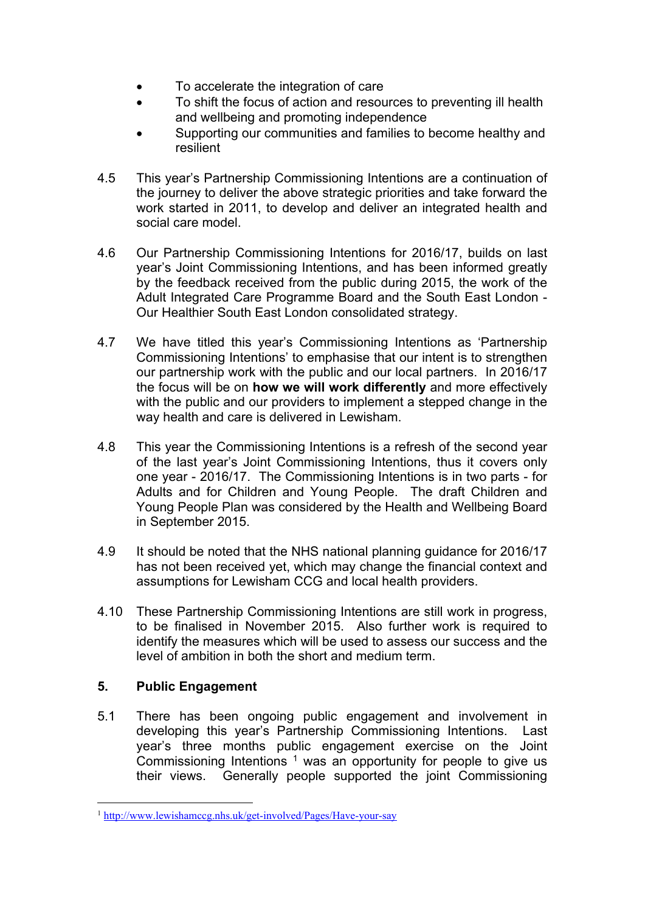- To accelerate the integration of care
- To shift the focus of action and resources to preventing ill health and wellbeing and promoting independence
- Supporting our communities and families to become healthy and resilient
- 4.5 This year's Partnership Commissioning Intentions are a continuation of the journey to deliver the above strategic priorities and take forward the work started in 2011, to develop and deliver an integrated health and social care model
- 4.6 Our Partnership Commissioning Intentions for 2016/17, builds on last year's Joint Commissioning Intentions, and has been informed greatly by the feedback received from the public during 2015, the work of the Adult Integrated Care Programme Board and the South East London - Our Healthier South East London consolidated strategy.
- 4.7 We have titled this year's Commissioning Intentions as 'Partnership Commissioning Intentions' to emphasise that our intent is to strengthen our partnership work with the public and our local partners. In 2016/17 the focus will be on **how we will work differently** and more effectively with the public and our providers to implement a stepped change in the way health and care is delivered in Lewisham.
- 4.8 This year the Commissioning Intentions is a refresh of the second year of the last year's Joint Commissioning Intentions, thus it covers only one year - 2016/17. The Commissioning Intentions is in two parts - for Adults and for Children and Young People. The draft Children and Young People Plan was considered by the Health and Wellbeing Board in September 2015.
- 4.9 It should be noted that the NHS national planning guidance for 2016/17 has not been received yet, which may change the financial context and assumptions for Lewisham CCG and local health providers.
- 4.10 These Partnership Commissioning Intentions are still work in progress, to be finalised in November 2015. Also further work is required to identify the measures which will be used to assess our success and the level of ambition in both the short and medium term.

# **5. Public Engagement**

5.1 There has been ongoing public engagement and involvement in developing this year's Partnership Commissioning Intentions. Last year's three months public engagement exercise on the Joint Commissioning Intentions  $1$  was an opportunity for people to give us their views. Generally people supported the joint Commissioning

<sup>1</sup> <http://www.lewishamccg.nhs.uk/get-involved/Pages/Have-your-say>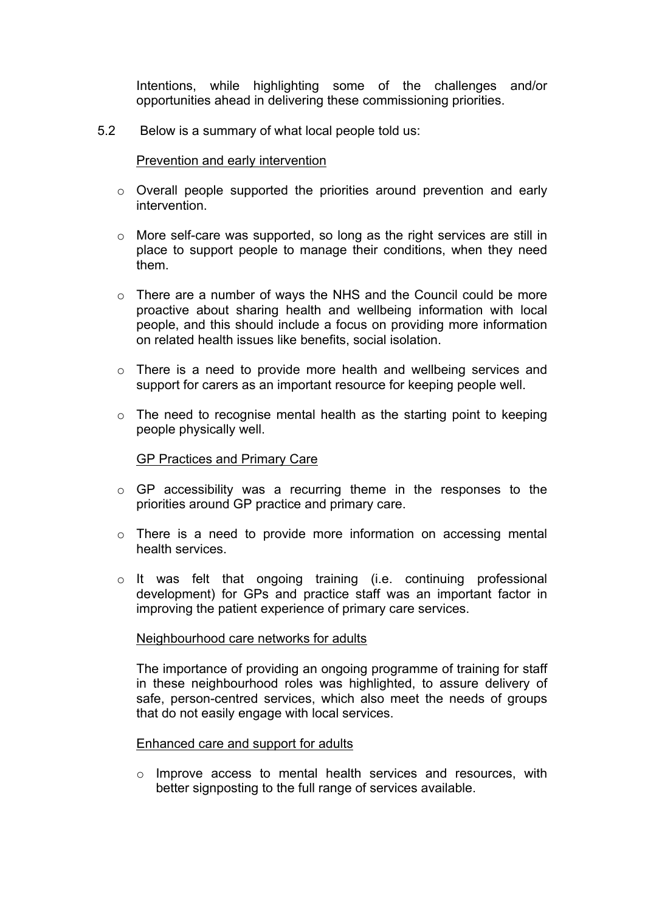Intentions, while highlighting some of the challenges and/or opportunities ahead in delivering these commissioning priorities.

5.2 Below is a summary of what local people told us:

#### Prevention and early intervention

- o Overall people supported the priorities around prevention and early intervention.
- o More self-care was supported, so long as the right services are still in place to support people to manage their conditions, when they need them.
- o There are a number of ways the NHS and the Council could be more proactive about sharing health and wellbeing information with local people, and this should include a focus on providing more information on related health issues like benefits, social isolation.
- $\circ$  There is a need to provide more health and wellbeing services and support for carers as an important resource for keeping people well.
- o The need to recognise mental health as the starting point to keeping people physically well.

#### GP Practices and Primary Care

- o GP accessibility was a recurring theme in the responses to the priorities around GP practice and primary care.
- $\circ$  There is a need to provide more information on accessing mental health services.
- o It was felt that ongoing training (i.e. continuing professional development) for GPs and practice staff was an important factor in improving the patient experience of primary care services.

#### Neighbourhood care networks for adults

The importance of providing an ongoing programme of training for staff in these neighbourhood roles was highlighted, to assure delivery of safe, person-centred services, which also meet the needs of groups that do not easily engage with local services.

#### Enhanced care and support for adults

o Improve access to mental health services and resources, with better signposting to the full range of services available.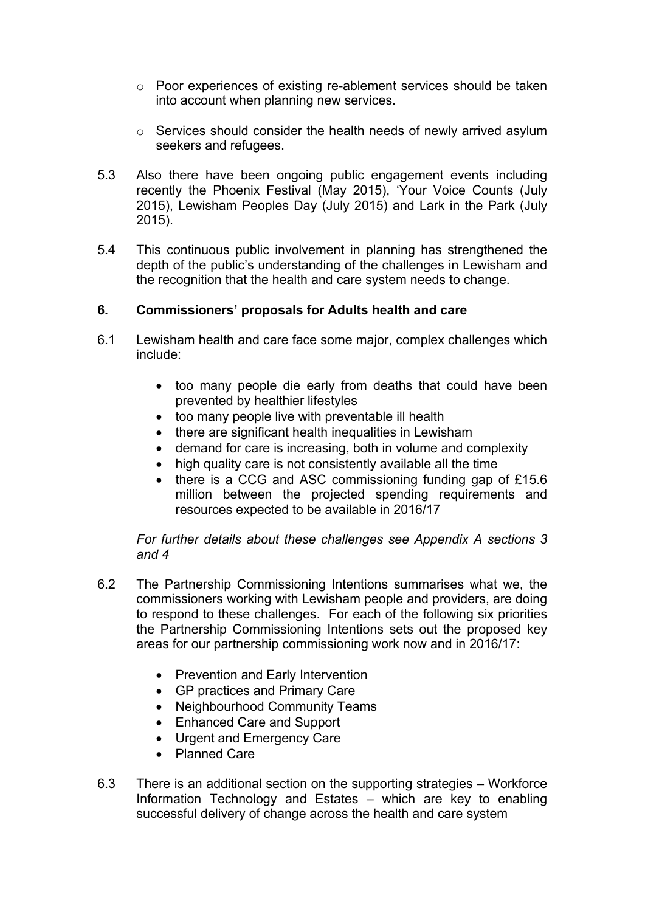- o Poor experiences of existing re-ablement services should be taken into account when planning new services.
- o Services should consider the health needs of newly arrived asylum seekers and refugees.
- 5.3 Also there have been ongoing public engagement events including recently the Phoenix Festival (May 2015), 'Your Voice Counts (July 2015), Lewisham Peoples Day (July 2015) and Lark in the Park (July 2015).
- 5.4 This continuous public involvement in planning has strengthened the depth of the public's understanding of the challenges in Lewisham and the recognition that the health and care system needs to change.

## **6. Commissioners' proposals for Adults health and care**

- 6.1 Lewisham health and care face some major, complex challenges which include:
	- too many people die early from deaths that could have been prevented by healthier lifestyles
	- too many people live with preventable ill health
	- there are significant health inequalities in Lewisham
	- demand for care is increasing, both in volume and complexity
	- high quality care is not consistently available all the time
	- there is a CCG and ASC commissioning funding gap of £15.6 million between the projected spending requirements and resources expected to be available in 2016/17

### *For further details about these challenges see Appendix A sections 3 and 4*

- 6.2 The Partnership Commissioning Intentions summarises what we, the commissioners working with Lewisham people and providers, are doing to respond to these challenges. For each of the following six priorities the Partnership Commissioning Intentions sets out the proposed key areas for our partnership commissioning work now and in 2016/17:
	- Prevention and Early Intervention
	- GP practices and Primary Care
	- Neighbourhood Community Teams
	- Enhanced Care and Support
	- Urgent and Emergency Care
	- Planned Care
- 6.3 There is an additional section on the supporting strategies Workforce Information Technology and Estates – which are key to enabling successful delivery of change across the health and care system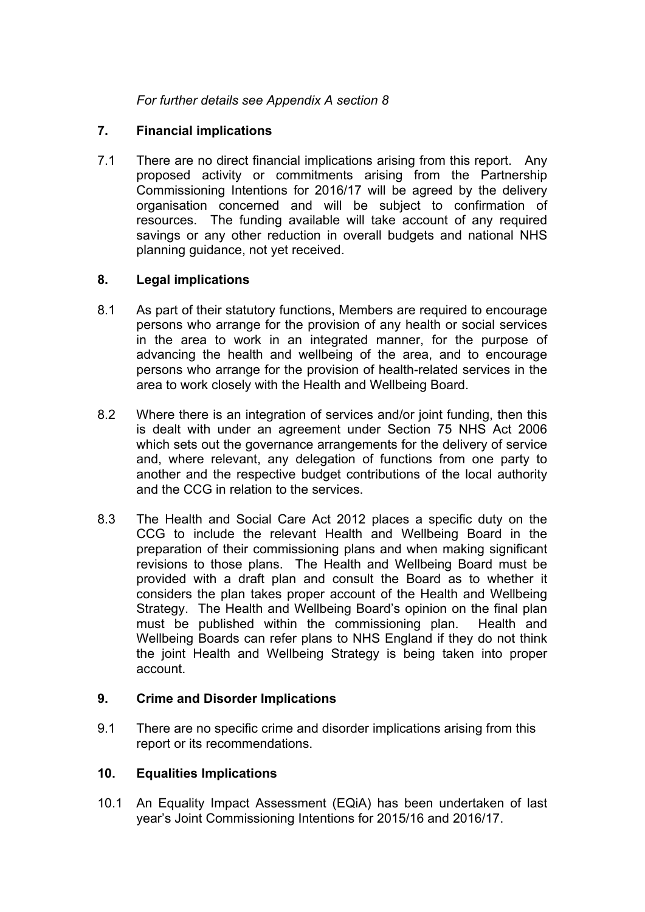*For further details see Appendix A section 8*

# **7. Financial implications**

7.1 There are no direct financial implications arising from this report. Any proposed activity or commitments arising from the Partnership Commissioning Intentions for 2016/17 will be agreed by the delivery organisation concerned and will be subject to confirmation of resources. The funding available will take account of any required savings or any other reduction in overall budgets and national NHS planning guidance, not yet received.

# **8. Legal implications**

- 8.1 As part of their statutory functions, Members are required to encourage persons who arrange for the provision of any health or social services in the area to work in an integrated manner, for the purpose of advancing the health and wellbeing of the area, and to encourage persons who arrange for the provision of health-related services in the area to work closely with the Health and Wellbeing Board.
- 8.2 Where there is an integration of services and/or joint funding, then this is dealt with under an agreement under Section 75 NHS Act 2006 which sets out the governance arrangements for the delivery of service and, where relevant, any delegation of functions from one party to another and the respective budget contributions of the local authority and the CCG in relation to the services.
- 8.3 The Health and Social Care Act 2012 places a specific duty on the CCG to include the relevant Health and Wellbeing Board in the preparation of their commissioning plans and when making significant revisions to those plans. The Health and Wellbeing Board must be provided with a draft plan and consult the Board as to whether it considers the plan takes proper account of the Health and Wellbeing Strategy. The Health and Wellbeing Board's opinion on the final plan must be published within the commissioning plan. Health and Wellbeing Boards can refer plans to NHS England if they do not think the joint Health and Wellbeing Strategy is being taken into proper account.

# **9. Crime and Disorder Implications**

9.1 There are no specific crime and disorder implications arising from this report or its recommendations.

# **10. Equalities Implications**

10.1 An Equality Impact Assessment (EQiA) has been undertaken of last year's Joint Commissioning Intentions for 2015/16 and 2016/17.